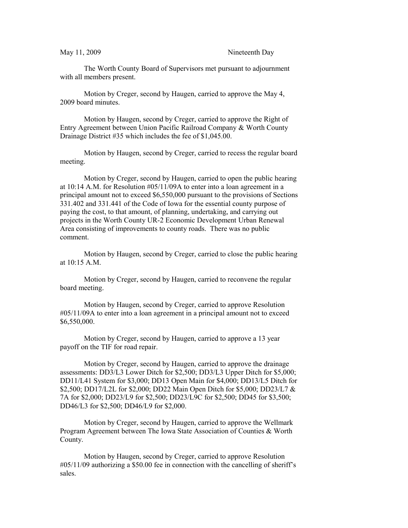May 11, 2009 Nineteenth Day

The Worth County Board of Supervisors met pursuant to adjournment with all members present.

Motion by Creger, second by Haugen, carried to approve the May 4, 2009 board minutes.

Motion by Haugen, second by Creger, carried to approve the Right of Entry Agreement between Union Pacific Railroad Company & Worth County Drainage District #35 which includes the fee of \$1,045.00.

Motion by Haugen, second by Creger, carried to recess the regular board meeting.

Motion by Creger, second by Haugen, carried to open the public hearing at 10:14 A.M. for Resolution #05/11/09A to enter into a loan agreement in a principal amount not to exceed \$6,550,000 pursuant to the provisions of Sections 331.402 and 331.441 of the Code of Iowa for the essential county purpose of paying the cost, to that amount, of planning, undertaking, and carrying out projects in the Worth County UR-2 Economic Development Urban Renewal Area consisting of improvements to county roads. There was no public comment.

Motion by Haugen, second by Creger, carried to close the public hearing at 10:15 A.M.

Motion by Creger, second by Haugen, carried to reconvene the regular board meeting.

Motion by Haugen, second by Creger, carried to approve Resolution #05/11/09A to enter into a loan agreement in a principal amount not to exceed \$6,550,000.

Motion by Creger, second by Haugen, carried to approve a 13 year payoff on the TIF for road repair.

Motion by Creger, second by Haugen, carried to approve the drainage assessments: DD3/L3 Lower Ditch for \$2,500; DD3/L3 Upper Ditch for \$5,000; DD11/L41 System for \$3,000; DD13 Open Main for \$4,000; DD13/L5 Ditch for \$2,500; DD17/L2L for \$2,000; DD22 Main Open Ditch for \$5,000; DD23/L7 & 7A for \$2,000; DD23/L9 for \$2,500; DD23/L9C for \$2,500; DD45 for \$3,500; DD46/L3 for \$2,500; DD46/L9 for \$2,000.

Motion by Creger, second by Haugen, carried to approve the Wellmark Program Agreement between The Iowa State Association of Counties & Worth County.

Motion by Haugen, second by Creger, carried to approve Resolution #05/11/09 authorizing a \$50.00 fee in connection with the cancelling of sheriff's sales.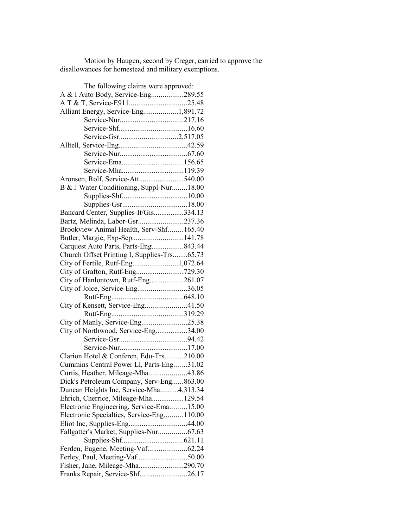Motion by Haugen, second by Creger, carried to approve the disallowances for homestead and military exemptions.

| The following claims were approved:         |  |
|---------------------------------------------|--|
| A & I Auto Body, Service-Eng289.55          |  |
|                                             |  |
| Alliant Energy, Service-Eng1,891.72         |  |
|                                             |  |
|                                             |  |
|                                             |  |
|                                             |  |
|                                             |  |
|                                             |  |
|                                             |  |
| Aronsen, Rolf, Service-Att540.00            |  |
| B & J Water Conditioning, Suppl-Nur18.00    |  |
|                                             |  |
|                                             |  |
| Bancard Center, Supplies-It/Gis334.13       |  |
| Bartz, Melinda, Labor-Gsr237.36             |  |
| Brookview Animal Health, Serv-Shf165.40     |  |
| Butler, Margie, Exp-Scp141.78               |  |
| Carquest Auto Parts, Parts-Eng843.44        |  |
| Church Offset Printing I, Supplies-Trs65.73 |  |
| City of Fertile, Rutf-Eng1,072.64           |  |
| City of Grafton, Rutf-Eng729.30             |  |
| City of Hanlontown, Rutf-Eng261.07          |  |
| City of Joice, Service-Eng36.05             |  |
|                                             |  |
| City of Kensett, Service-Eng41.50           |  |
|                                             |  |
| City of Manly, Service-Eng25.38             |  |
| City of Northwood, Service-Eng34.00         |  |
|                                             |  |
|                                             |  |
| Clarion Hotel & Conferen, Edu-Trs210.00     |  |
| Cummins Central Power Ll, Parts-Eng31.02    |  |
| Curtis, Heather, Mileage-Mha43.86           |  |
| Dick's Petroleum Company, Serv-Eng863.00    |  |
| Duncan Heights Inc, Service-Mha4,313.34     |  |
| Ehrich, Cherrice, Mileage-Mha129.54         |  |
| Electronic Engineering, Service-Ema15.00    |  |
| Electronic Specialties, Service-Eng110.00   |  |
| Eliot Inc, Supplies-Eng44.00                |  |
| Fallgatter's Market, Supplies-Nur67.63      |  |
|                                             |  |
|                                             |  |
| Ferley, Paul, Meeting-Vaf50.00              |  |
|                                             |  |
| Fisher, Jane, Mileage-Mha290.70             |  |
| Franks Repair, Service-Shf26.17             |  |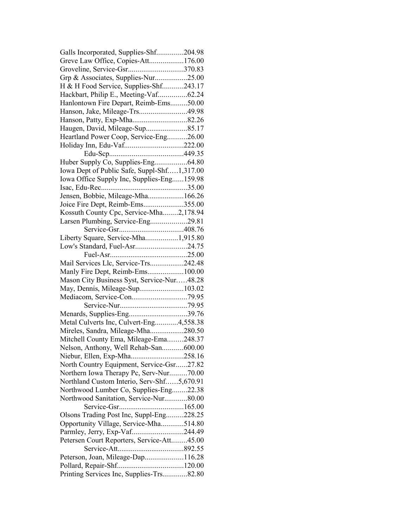| Galls Incorporated, Supplies-Shf204.98      |  |
|---------------------------------------------|--|
| Greve Law Office, Copies-Att176.00          |  |
| Groveline, Service-Gsr370.83                |  |
| Grp & Associates, Supplies-Nur25.00         |  |
| H & H Food Service, Supplies-Shf243.17      |  |
| Hackbart, Philip E., Meeting-Vaf62.24       |  |
| Hanlontown Fire Depart, Reimb-Ems50.00      |  |
|                                             |  |
| Hanson, Patty, Exp-Mha82.26                 |  |
| Haugen, David, Mileage-Sup85.17             |  |
| Heartland Power Coop, Service-Eng26.00      |  |
| Holiday Inn, Edu-Vaf222.00                  |  |
|                                             |  |
| Huber Supply Co, Supplies-Eng64.80          |  |
| Iowa Dept of Public Safe, Suppl-Shf1,317.00 |  |
| Iowa Office Supply Inc, Supplies-Eng159.98  |  |
|                                             |  |
| Jensen, Bobbie, Mileage-Mha166.26           |  |
| Joice Fire Dept, Reimb-Ems355.00            |  |
| Kossuth County Cpc, Service-Mha2,178.94     |  |
| Larsen Plumbing, Service-Eng29.81           |  |
|                                             |  |
| Liberty Square, Service-Mha1,915.80         |  |
| Low's Standard, Fuel-Asr24.75               |  |
|                                             |  |
|                                             |  |
| Mail Services Llc, Service-Trs242.48        |  |
| Manly Fire Dept, Reimb-Ems100.00            |  |
| Mason City Business Syst, Service-Nur48.28  |  |
| May, Dennis, Mileage-Sup103.02              |  |
|                                             |  |
|                                             |  |
| Menards, Supplies-Eng39.76                  |  |
| Metal Culverts Inc, Culvert-Eng4,558.38     |  |
| Mireles, Sandra, Mileage-Mha280.50          |  |
| Mitchell County Ema, Mileage-Ema248.37      |  |
| Nelson, Anthony, Well Rehab-San600.00       |  |
| Niebur, Ellen, Exp-Mha258.16                |  |
| North Country Equipment, Service-Gsr27.82   |  |
| Northern Iowa Therapy Pc, Serv-Nur70.00     |  |
| Northland Custom Interio, Serv-Shf5,670.91  |  |
| Northwood Lumber Co, Supplies-Eng22.38      |  |
| Northwood Sanitation, Service-Nur80.00      |  |
|                                             |  |
| Olsons Trading Post Inc, Suppl-Eng228.25    |  |
| Opportunity Village, Service-Mha514.80      |  |
| Parmley, Jerry, Exp-Vaf244.49               |  |
| Petersen Court Reporters, Service-Att45.00  |  |
|                                             |  |
| Peterson, Joan, Mileage-Dap116.28           |  |
|                                             |  |
| Printing Services Inc, Supplies-Trs82.80    |  |